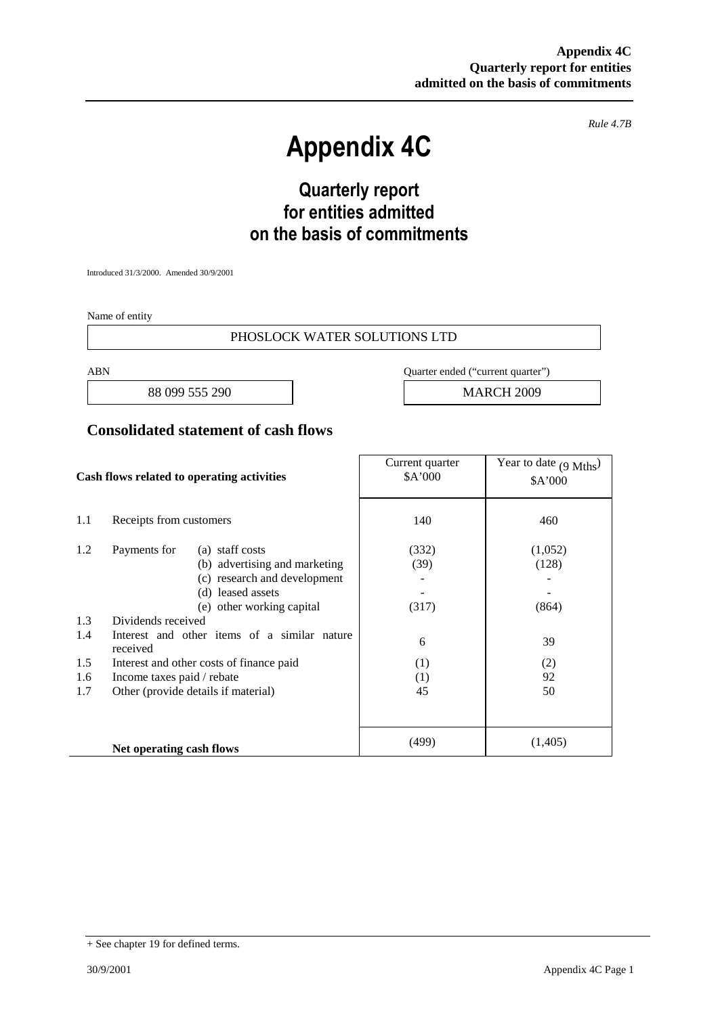*Rule 4.7B*

# **Appendix 4C**

## **Quarterly report for entities admitted on the basis of commitments**

Introduced 31/3/2000. Amended 30/9/2001

Name of entity

#### PHOSLOCK WATER SOLUTIONS LTD

88 099 555 290 and 1 MARCH 2009

ABN Quarter ended ("current quarter")

#### **Consolidated statement of cash flows**

| Cash flows related to operating activities |                                                          | Current quarter<br>\$A'000 | Year to date $(9 \text{ Mths})$<br>\$A'000 |
|--------------------------------------------|----------------------------------------------------------|----------------------------|--------------------------------------------|
| 1.1                                        | Receipts from customers                                  | 140                        | 460                                        |
| 1.2                                        | Payments for<br>(a) staff costs                          | (332)                      | (1,052)                                    |
|                                            | (b) advertising and marketing                            | (39)                       | (128)                                      |
|                                            | (c) research and development                             |                            |                                            |
|                                            | (d) leased assets                                        |                            |                                            |
|                                            | (e) other working capital                                | (317)                      | (864)                                      |
| 1.3                                        | Dividends received                                       |                            |                                            |
| 1.4                                        | Interest and other items of a similar nature<br>received | 6                          | 39                                         |
| 1.5                                        | Interest and other costs of finance paid                 | (1)                        | (2)                                        |
| 1.6                                        | Income taxes paid / rebate                               | (1)                        | 92                                         |
| 1.7                                        | Other (provide details if material)                      | 45                         | 50                                         |
|                                            |                                                          |                            |                                            |
|                                            | Net operating cash flows                                 | (499)                      | (1,405)                                    |

<sup>+</sup> See chapter 19 for defined terms.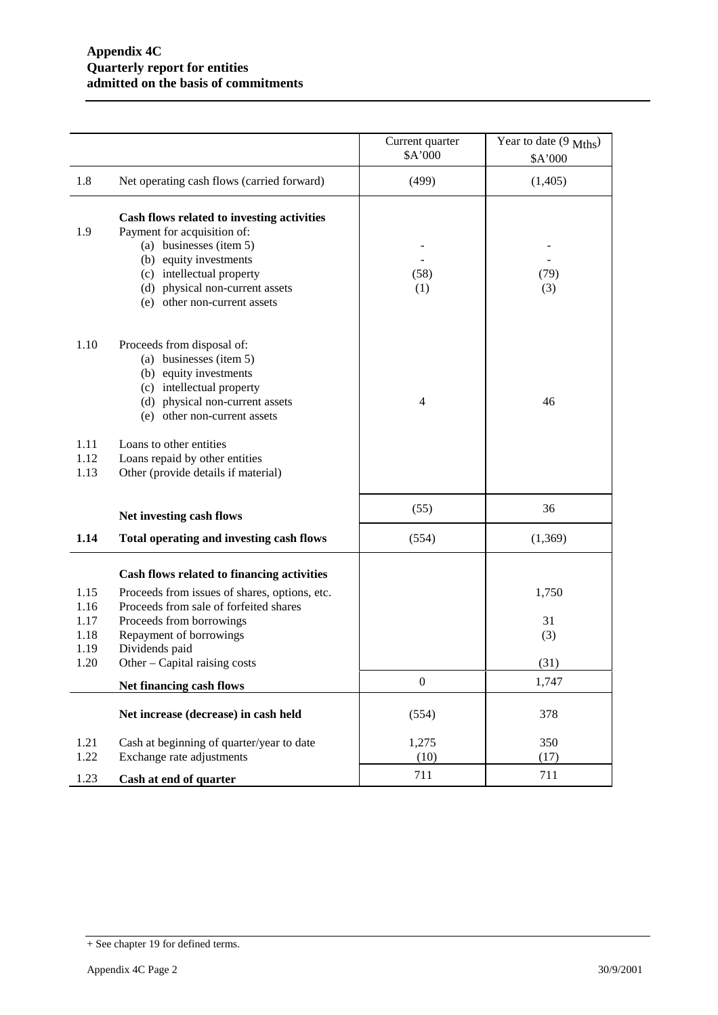|                                              |                                                                                                                                                                                                                                                 | Current quarter<br>\$A'000 | Year to date $(9 \text{ Mths})$<br>\$A'000 |
|----------------------------------------------|-------------------------------------------------------------------------------------------------------------------------------------------------------------------------------------------------------------------------------------------------|----------------------------|--------------------------------------------|
| 1.8                                          | Net operating cash flows (carried forward)                                                                                                                                                                                                      | (499)                      | (1,405)                                    |
| 1.9                                          | Cash flows related to investing activities<br>Payment for acquisition of:<br>(a) businesses (item 5)<br>(b) equity investments<br>(c) intellectual property<br>(d) physical non-current assets<br>(e) other non-current assets                  | (58)<br>(1)                | (79)<br>(3)                                |
| 1.10                                         | Proceeds from disposal of:<br>(a) businesses (item 5)<br>(b) equity investments<br>(c) intellectual property<br>(d) physical non-current assets<br>(e) other non-current assets                                                                 | $\overline{4}$             | 46                                         |
| 1.11<br>1.12<br>1.13                         | Loans to other entities<br>Loans repaid by other entities<br>Other (provide details if material)                                                                                                                                                |                            |                                            |
|                                              | Net investing cash flows                                                                                                                                                                                                                        | (55)                       | 36                                         |
| 1.14                                         | Total operating and investing cash flows                                                                                                                                                                                                        | (554)                      | (1,369)                                    |
| 1.15<br>1.16<br>1.17<br>1.18<br>1.19<br>1.20 | Cash flows related to financing activities<br>Proceeds from issues of shares, options, etc.<br>Proceeds from sale of forfeited shares<br>Proceeds from borrowings<br>Repayment of borrowings<br>Dividends paid<br>Other – Capital raising costs |                            | 1,750<br>31<br>(3)<br>(31)                 |
|                                              | Net financing cash flows                                                                                                                                                                                                                        | $\boldsymbol{0}$           | 1,747                                      |
|                                              | Net increase (decrease) in cash held                                                                                                                                                                                                            | (554)                      | 378                                        |
| 1.21<br>1.22                                 | Cash at beginning of quarter/year to date<br>Exchange rate adjustments                                                                                                                                                                          | 1,275<br>(10)              | 350<br>(17)                                |
| 1.23                                         | Cash at end of quarter                                                                                                                                                                                                                          | 711                        | 711                                        |

<sup>+</sup> See chapter 19 for defined terms.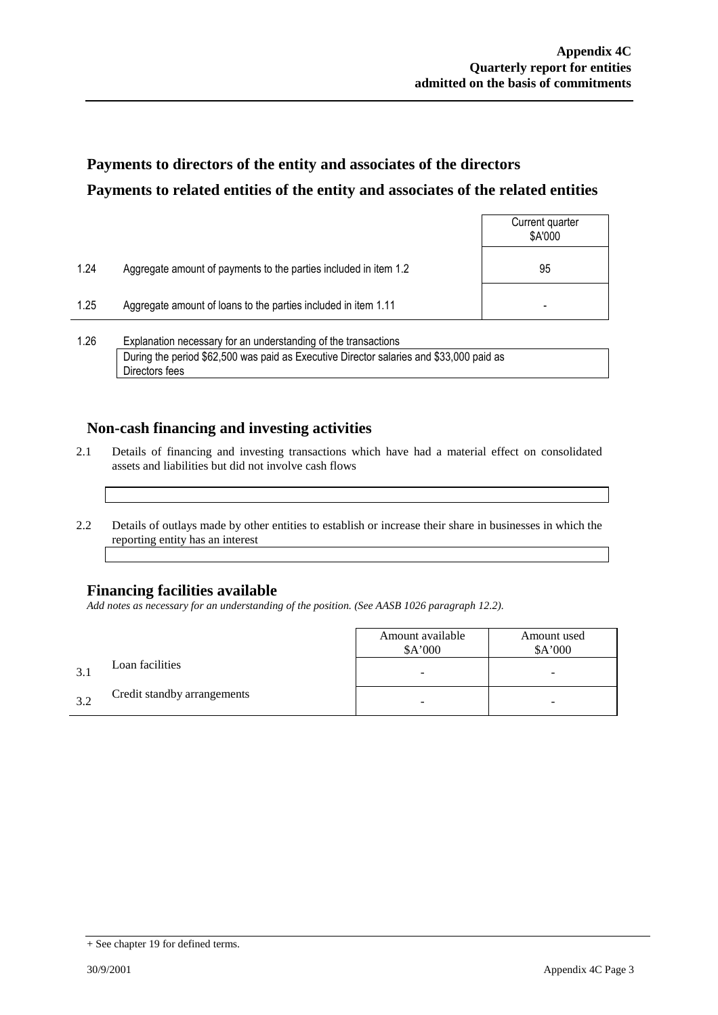### **Payments to directors of the entity and associates of the directors Payments to related entities of the entity and associates of the related entities**

|      |                                                                  | Current quarter<br>\$A'000 |
|------|------------------------------------------------------------------|----------------------------|
| 1.24 | Aggregate amount of payments to the parties included in item 1.2 | 95                         |
| 1.25 | Aggregate amount of loans to the parties included in item 1.11   |                            |
|      |                                                                  |                            |

1.26 Explanation necessary for an understanding of the transactions During the period \$62,500 was paid as Executive Director salaries and \$33,000 paid as Directors fees

### **Non-cash financing and investing activities**

- 2.1 Details of financing and investing transactions which have had a material effect on consolidated assets and liabilities but did not involve cash flows
- 2.2 Details of outlays made by other entities to establish or increase their share in businesses in which the reporting entity has an interest

### **Financing facilities available**

*Add notes as necessary for an understanding of the position. (See AASB 1026 paragraph 12.2).*

|              |                             | Amount available<br>\$A'000 | Amount used<br>\$A'000 |
|--------------|-----------------------------|-----------------------------|------------------------|
| $\mathbf{R}$ | Loan facilities             | -                           | -                      |
| 32           | Credit standby arrangements |                             | -                      |

<sup>+</sup> See chapter 19 for defined terms.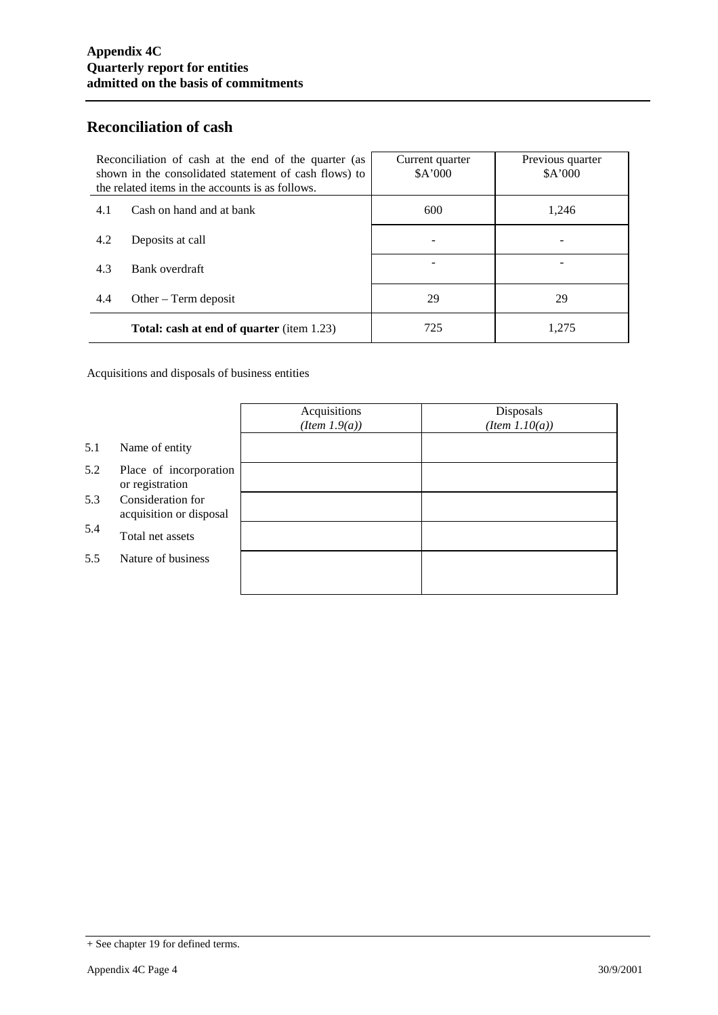### **Reconciliation of cash**

| Reconciliation of cash at the end of the quarter (as<br>shown in the consolidated statement of cash flows) to<br>the related items in the accounts is as follows. |                                                  | Current quarter<br>\$A'000 | Previous quarter<br>\$A'000 |
|-------------------------------------------------------------------------------------------------------------------------------------------------------------------|--------------------------------------------------|----------------------------|-----------------------------|
| 4.1                                                                                                                                                               | Cash on hand and at bank                         | 600                        | 1,246                       |
| 4.2                                                                                                                                                               | Deposits at call                                 |                            |                             |
| 4.3                                                                                                                                                               | Bank overdraft                                   |                            |                             |
| 4.4                                                                                                                                                               | Other $-$ Term deposit                           | 29                         | 29                          |
|                                                                                                                                                                   | <b>Total: cash at end of quarter</b> (item 1.23) | 725                        | 1,275                       |

Acquisitions and disposals of business entities

|     |                                              | Acquisitions<br>$(Item\ 1.9(a))$ | Disposals<br>$(Item\ 1.10(a))$ |
|-----|----------------------------------------------|----------------------------------|--------------------------------|
| 5.1 | Name of entity                               |                                  |                                |
| 5.2 | Place of incorporation<br>or registration    |                                  |                                |
| 5.3 | Consideration for<br>acquisition or disposal |                                  |                                |
| 5.4 | Total net assets                             |                                  |                                |
| 5.5 | Nature of business                           |                                  |                                |
|     |                                              |                                  |                                |

<sup>+</sup> See chapter 19 for defined terms.